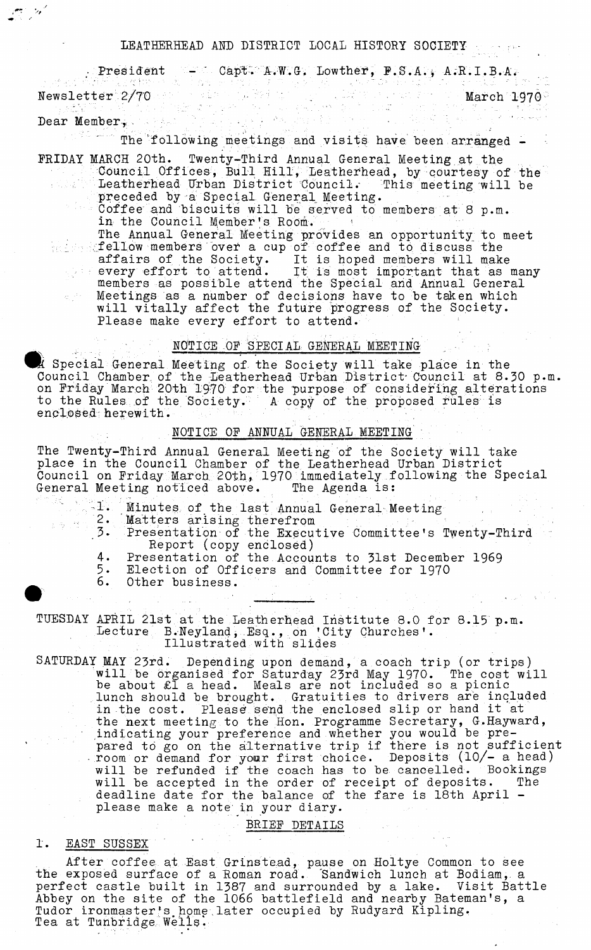#### LEATHERHEAD AND DISTRICT LOCAL HISTORY SOCIETY

• President - ' Capt. A.W.G. Lowther, P.S.A., A.R.I.B.A. Newsletter 2/70 . March 1970

Dear Member, and the members of the second series of the series of the series of the series of the series of the series of the series of the series of the series of the series of the series of the series of the series of t

 $\mathbb{C}/\mathbb{Z}$ 

... The'following meetings and visits have, been arranged -

FRIDAY MARCH 20th. Twenty-Third Annual General Meeting at the Council Offices, Bull Hill, Leatherhead, by courtesy of the Leatherhead Urban District Council.- This meeting will be preceded by a Special General Meeting.

Coffee and biscuits will be served to members at 8 p.m. in the Council Member's Room.

The Annual General Meeting provides an opportunity to meet fellow members over a cup of coffee and to discuss the affairs of the Society. It is hoped members will make every effort to attend. It is most important that as many members as possible attend the Special and Annual General Meetings as a number of decisions have to be taken which will vitally affect the future progress of the Society. Please make every effort to attend.

## NOTICE OF SPECIAL GENERAL MEETING

**MOTICE OF SPECIAL GENERAL MEETING**<br> **Council Ceneral Meeting of the Society will take place in the**<br>
Council Chamber of the Lestherheed Urban District Council at 8.3 Council Chamber, of the Leatherhead Urban District- Council at 8.30 p.m. on Friday March 20th 1970 for the purpose of considering alterations to the Rules of the Society. A copy of the proposed rules is enclosed herewith.

### NOTICE OF ANNUAL GENERAL MEETING '

The Twenty-Third Annual General Meeting of the Society will take place in the Council Chamber of the Leatherhead Urban District Council on Friday March 20th, 1970 immediately following the Special General Meeting noticed above. The Agenda is:

- 2. Matters arising therefrom
- 1. Minutes of the last Annual General Meeting 2. Matters arising therefrom<br>3. Presentation of the Executive Committeeir 3• Presentation of the Executive Committee's Twenty-Third Report (copy enclosed)
	- 4. Presentation of the Accounts to 31st December 1969
	- 5. Election of Officers and Committee for 1970<br>6. Other business.
	- Other business.

TUESDAY APRIL 21st at the Leatherhead Institute 8.0 for 8.15 p.m. Lecture B.Neyland, Esq., on 'City Churches'. Illustrated with slides

SATURDAY MAY 23rd. Depending upon demand, a coach trip (or trips) will be organised for Saturday 23rd May 1970. The cost will be about £l a head. Meals are not included so a picnic lunch should be brought. Gratuities to drivers are included in the cost. Please send the enclosed slip or hand it at the next meeting to the Hon. Programme Secretary, G.Hayward, indicating your preference and whether you would be prepared to go on the alternative trip if there is not sufficient  $\cdot$  room or demand for your first choice. Deposits (10/- a head) will be refunded if the coach has to be cancelled. Bookings will be accepted in the order of receipt of deposits. The deadline date for the balance of the fare is 18th April please make a note In your diary.

BRIEF DETAILS

# 1. EAST SUSSEX

After coffee at East Grinstead, pause on Holtye Common to see the exposed surface of a Roman road. 'Sandwich lunch at Bodiam, a perfect castle built in 1387 and surrounded by a lake. Visit Battle Abbey on the site of the 1066 battlefield and nearby Bateman's, a Tudor ironmaster's.home,later occupied by Rudyard Kipling. Tea at Tunbridge Wells-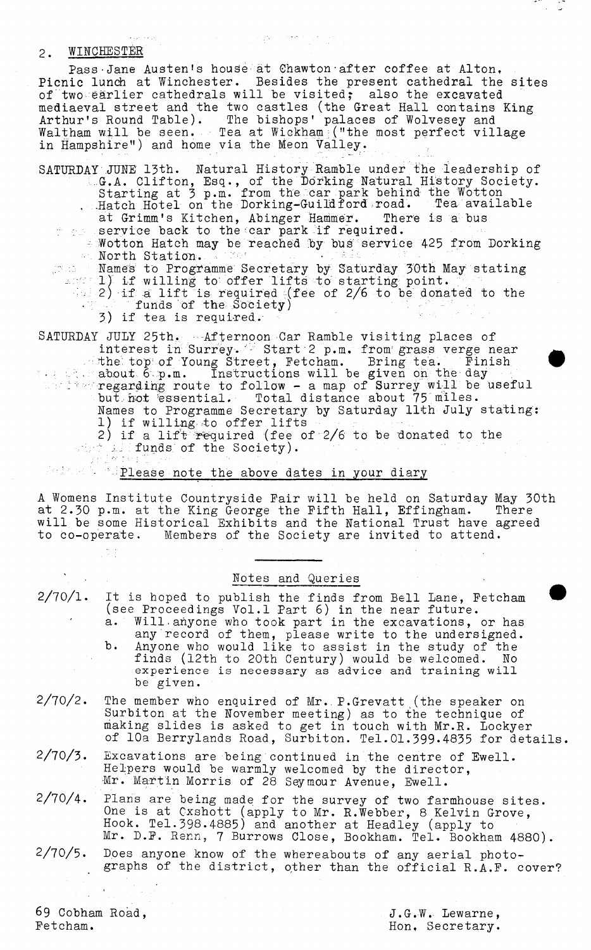# 2. WINCHESTER

Pass Jane Austen's house at Chawton after coffee at Alton, Picnic lunch at Winchester. Besides the present cathedral the sites of two earlier cathedrals will be visited; also the excavated mediaeval street and the two castles (the Great Hall contains King Arthur's Round Table). The bishops' palaces of Wolvesey and Waltham will be seen. Tea at Wickham ; ("the most perfect village in Hampshire") and home via the Meon Valley.

 $\mathcal{L}^{\mathcal{L}}(\mathcal{O}_{\mathcal{L}}) \cong \mathcal{O}_{\mathcal{L}}^{\mathcal{L}}(\mathcal{O}_{\mathcal{L}}) \cong \mathcal{O}_{\mathcal{L}}^{\mathcal{L}}(\mathcal{O}_{\mathcal{L}})$ 

SATURDAY'JUNE 13th. Natural History Ramble under the leadership of G.A. Clifton, Esq., of the Dorking Natural History Society. Starting at 3 p.m. from the car park behind the Wotton ,  $Hatch$   $H{\o{b}tel}$  on the Dorking-Guildford road. Tea available at Grimm's Kitchen, Abinger Hammer. There is a bus

- the service back to the car park if required. - Wotton Hatch may be reached by bus service 425 from Dorking<br>North Station.
	- $\blacksquare$  North Station.  $\blacksquare$  references  $\blacksquare$ Names to Programme Secretary by Saturday 30th May stating
	- 1) if willing to offer lifts to starting point.  $\blacksquare$  $\approx$  2) if a lift is required (fee of 2/6 to be donated to the  $\cdot$   $\in$   $\,$   $\,$  funds of the Society)
		- 3) if tea is required.

SATURDAY JULY 25th. Afternoon Car Ramble visiting places of interest in Surrey. Start 2 p.m. from grass verge near the. top of Young Street, Fetcham. Bring tea. Finish *%* **→ ○ \ about. 6 p.m. Instructions will be given on the day** 

 $\sim$  regarding route to follow - a map of Surrey will be useful but. hot essential. Total distance about 75.miles. Names to Programme Secretary by Saturday 11th July stating: 1) if willing to offer lifts

2) if a lift required (fee of 2/6 to be donated to the funds of the Society).

Please note the above dates in your diary

A Womens Institute Countryside Pair will be held on Saturday May 30th at 2.30 p.m. at the King George the Pifth Hall, Effingham. There will be some Historical Exhibits and the National Trust have agreed<br>to co-operate. Members of the Society are invited to attend. Members of the Society are invited to attend.

|                 | Notes and Queries                                                                                                                                                                                                                                                                                                                                                                                                        |
|-----------------|--------------------------------------------------------------------------------------------------------------------------------------------------------------------------------------------------------------------------------------------------------------------------------------------------------------------------------------------------------------------------------------------------------------------------|
| $2/70/1$ .      | It is hoped to publish the finds from Bell Lane, Fetcham<br>(see Proceedings Vol.1 Part 6) in the near future.<br>a. Will anyone who took part in the excavations, or has<br>any record of them, please write to the undersigned.<br>b.<br>Anyone who would like to assist in the study of the<br>finds (12th to 20th Century) would be welcomed. No<br>experience is necessary as advice and training will<br>be given. |
| 2/70/2.         | The member who enquired of Mr. P. Grevatt (the speaker on<br>Surbiton at the November meeting) as to the technique of<br>making slides is asked to get in touch with Mr.R. Lockyer<br>of 10a Berrylands Road, Surbiton. Tel.01.399.4835 for details.                                                                                                                                                                     |
| 2/70/3.         | Excavations are being continued in the centre of Ewell.<br>Helpers would be warmly welcomed by the director,<br>Mr. Martin Morris of 28 Seymour Avenue, Ewell.                                                                                                                                                                                                                                                           |
| 2/70/4.         | Plans are being made for the survey of two farmhouse sites.<br>One is at Cxshott (apply to Mr. R.Webber, 8 Kelvin Grove,<br>Hook. Tel.398.4885) and another at Headley (apply to<br>Mr. D.F. Renn, 7 Burrows Close, Bookham. Tel. Bookham 4880).                                                                                                                                                                         |
| 2/70/5.         | Does anyone know of the whereabouts of any aerial photo-<br>graphs of the district, other than the official R.A.F. cover?                                                                                                                                                                                                                                                                                                |
| 69 Cobham Road, | J.G.W. Lewarne,                                                                                                                                                                                                                                                                                                                                                                                                          |

Petcham.

 $\frac{2\pi}{10}$  .  $\frac{2\pi}{10}$ 

J.G.W. Lewarne, Hon, Secretary.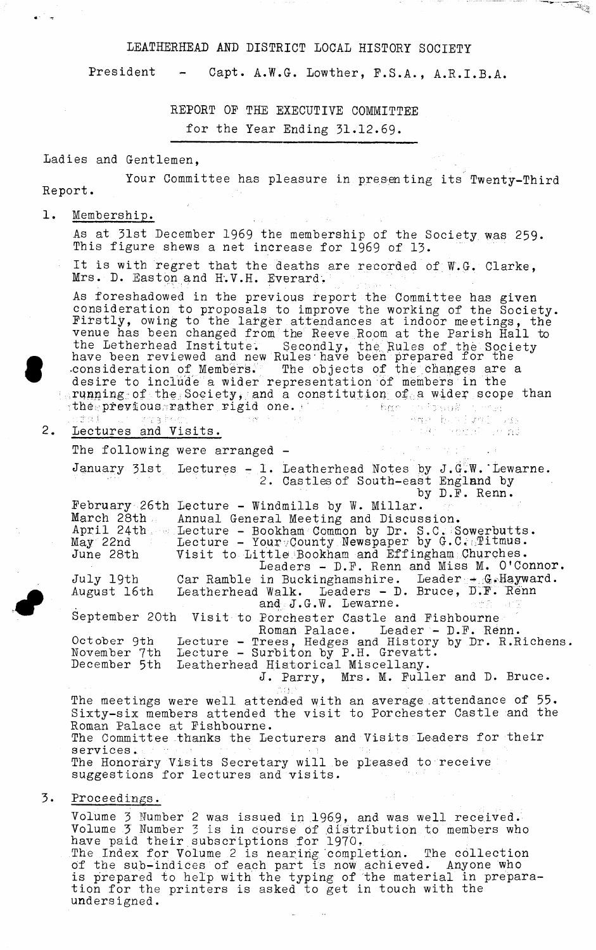### LEATHERHEAD AND DISTRICT LOCAL HISTORY SOCIETY

President - Capt. A.W.G. Lowther, F.S.A., A.R.I.B.A.

نسأ ساقسي

 $\mathbb{R}_{\mathbb{R}}$ 

REPORT OF THE EXECUTIVE COMMITTEE

for the Year Ending 31.12.69.

# Ladies and Gentlemen,

Your Committee has pleasure in presenting its Twenty-Third Report.

## 1. Membership.

As at 31st December 1969 the membership of the Society was 259. This figure shews a net increase for 1969 of 13.

It is with regret that the deaths are recorded of  $W.G.$  Clarke, Mrs. D. Easton and H'.V.H. Everard.

As foreshadowed in the previous report the Committee has given consideration to proposals to improve the working of the Society. Firstly, owing to the larger attendances at indoor meetings, the venue has been changed from the Reeve Room at the Parish Hall to the Letherhead Institute. Secondly, the Rules of the Society have been reviewed and new Rules have been prepared for the consideration of Members. The objects of the changes are a desire to include a wider representation of members in the  $\lceil$ .running of the Society, and a constitution of a wider scope than the previous rather rigid one. he has been and he

立字类:  $2.$ Lectures and Visits.

> The following were arranged -January 31st Lectures - 1. Leatherhead Notes by J .G.W.'Lewarne. 2. Castles of South-east England by by D.F. Renn. February 26th Lecture - Windmills by W. Millar.<br>March 28th Annual General Meeting and Discus Annual General Meeting and Discussion.  $\texttt{April 24th} \rightarrow \texttt{I}$ ecture - Bookham Common by Dr. S.C.; Sowerbutts. May 22nd  $\,$  Lecture - Your $\scriptstyle\rm \sim$ County Newspaper by G.C. $\scriptstyle\rm \sim$ Titmus. June 28th Visit to Little Bookham and Effingham Churches. Leaders - D.F. Renn and Miss M. O'Connor. July 19th Car Ramble in Buckinghamshire. Leader + G.Hayward. August 16th Leatherhead Walk. Leaders - D. Bruce, D.F. Renn and J.G.W. Lewarne. September 20th Visit to Porchester Castle and Fishbourne Roman Palace. Leader - D.F. Renn.

October 9th Lecture - Trees, Hedges and History by Dr. R.Richens. November 7th Lecture - Surbiton by P.H. Grevatt. December 5th Leatherhead Historical Miscellany.

J. Parry, Mrs. M. Fuller and D. Bruce.

Angel bereit van Done

 $\label{eq:3.1} \left\langle \left\langle \psi_{\alpha} \right\rangle_{\alpha} \left\langle \psi_{\alpha} \right\rangle_{\alpha} \left\langle \psi_{\alpha} \right\rangle_{\alpha} \right\rangle_{\alpha} = \left\langle \psi_{\alpha} \right\rangle_{\alpha}$ 

o e nic

1987)

The meetings were well attended with an average attendance of 55. Sixty-six members attended the visit to Porchester Castle and the Roman Palace at Fishbourne. The Committee thanks the Lecturers and Visits Leaders for their services.. The Honorary Visits Secretary will be pleased to receive suggestions for lectures and visits.

## 3. Proceedings.

Volume 3 Number 2 was issued in  $1969$ , and was well received. Volume 3 Number 3 is in course of distribution to members who have paid their.subscriptions for 1970. The Index; for Volume 2 is nearing completion. The collection of the sub-indices of each part is now achieved. Anyone who is prepared to help with the typing of the material in preparation for the printers is asked to get in touch with the unders igned.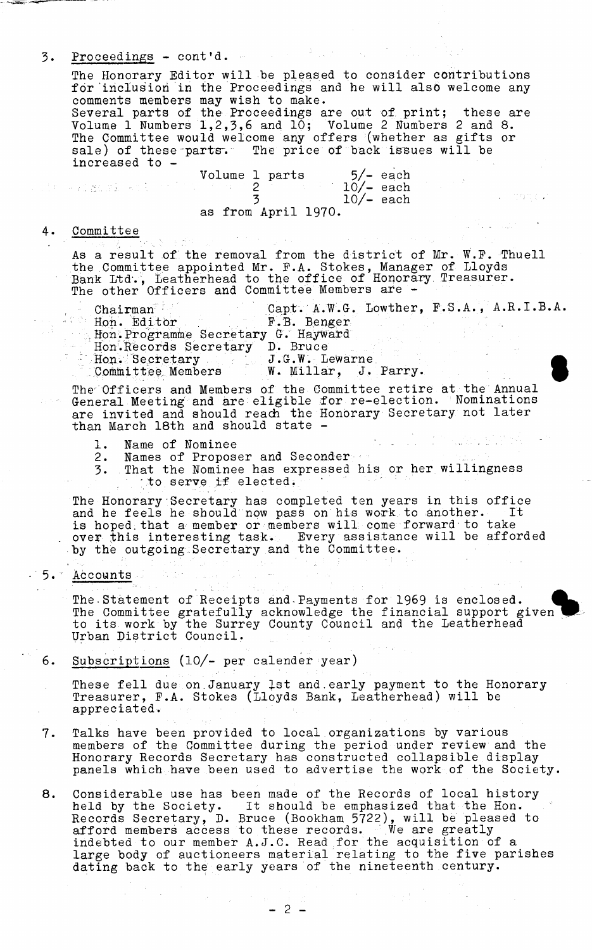3. Proceedings - cont'd. The Honorary Editor will be pleased to consider contributions for inclusion in the Proceedings and he will also welcome any comments members may wish to make. Several parts of the Proceedings are out of print; these are Volume 1 Numbers 1,2,3,6 and 10; Volume 2 Numbers 2 and 8. The Committee would welcome any offers (whether as gifts or sale) of these parts. The price of back issues will be increased to - Volume 1 parts  $5/-$  each<br>2  $10/-$  each . In the sequence of  $\frac{1}{3}$  $10/-$  each as from April 1970. 4. Committee As a result of the removal from the district of Mr. W.P. Thuell the Committee appointed Mr. P.A. Stokes, Manager of Lloyds Bank Ltd'., Leatherhead to the office of Honorary Treasurer. The other Officers and Committee Members are - Chairman Capt. A.W.G. Lowther, F.S.A., A.R.I.B.A.<br>Hon. Editor F.B. Benger <sup>1</sup> Hon. Editor Hon.Programme Secretary G. Hayward Hon.Records Secretary D. Bruce Hon. Secretary . J.G.W. Lewarne<br>Committee Members . W. Millar, J. W. Millar, J. Parry. The' Officers and Members of the Committee retire at the Annual General Meeting and are eligible for re-election. Nominations are invited and should reach the Honorary Secretary not later than March 18th and should state - 1. Name of Nominee<br>2. Names of Propos Names of Proposer and Seconder 3. That the Nominee has expressed his or her willingness to serve if elected. The Honorary Secretary has completed ten years in this office and he feels he should now pass on his work to another. It is hoped.that a member or members will come forward to take over this interesting task. Every assistance will be afforded by the outgoing Secretary and the Committee. 5.' Accounts The. Statement of Receipts and-Payments for 1969 is enclosed.

The Committee gratefully acknowledge the financial support given to its work by the Surrey County Council and the Leatherhead Urban District Council.

6. Subscriptions (10/- per calender year)

These fell due on January 1st and early payment to the Honorary Treasurer, P.A. Stokes (Lloyds Bank, Leatherhead) will be appreciated.

- 7. Talks have been provided to local organizations by various members of the Committee during the period under review and the Honorary Records Secretary has constructed collapsible display panels which have been used to advertise the work of the Society.
- 8. Considerable use has been made of the Records of local history held by the Society. It should be emphasized that the Hon. Records Secretary, D. Bruce (Bookham 5722), will be pleased to afford members access to these records. We are greatly indebted to our member A.J.C. Read for the acquisition of a large body of auctioneers material relating to the five parishes dating back to the early years of the nineteenth century.

- 2 -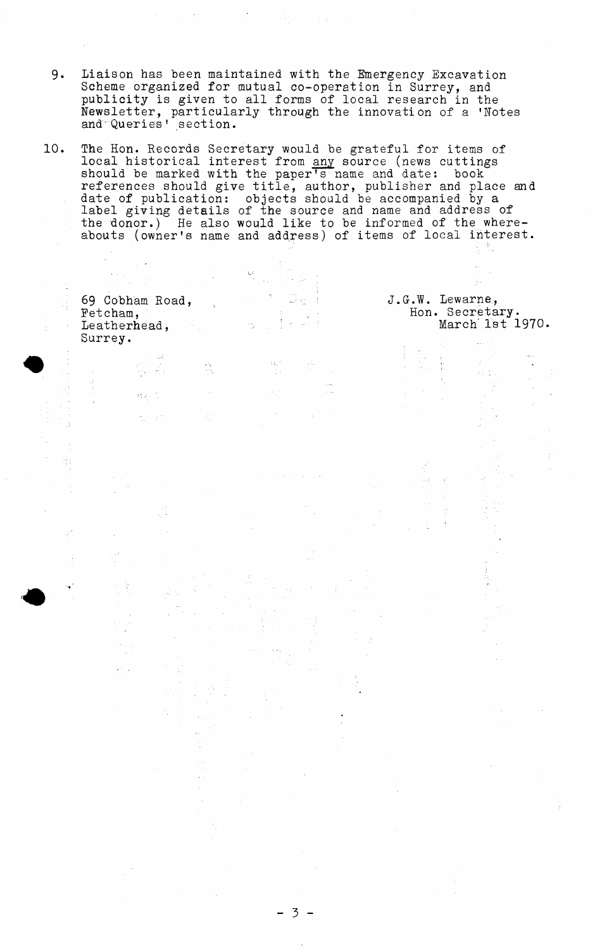- 9. Liaison has been maintained with the Emergency Excavation Scheme organized for mutual co-operation in Surrey, and publicity is given to all forms of local research in the Newsletter, particularly through the innovation of a 'Notes and'Queries' section.
- 10. The Hon. Records Secretary would be grateful for items of local historical interest from <u>any</u> source (news cuttings should be marked with the paper's name and date: book references should give title., author, publisher and place and date of publication: objects should be accompanied by a label giving details of the source and name and address of the donor.) He also would like to be informed of the whereabouts (owner's name and address) of items of local interest.

stal<br>177

Đ.

| $\label{eq:2.1} \mathcal{L}(\mathcal{L}^{\mathcal{A}}(\mathcal{A}^{\mathcal{A}}_{\mathcal{A}})) = \mathcal{L}(\mathcal{L}^{\mathcal{A}}(\mathcal{A}^{\mathcal{A}}_{\mathcal{A}})) = \mathcal{L}(\mathcal{L}^{\mathcal{A}}(\mathcal{A}^{\mathcal{A}}_{\mathcal{A}})) = \mathcal{L}(\mathcal{L}^{\mathcal{A}}_{\mathcal{A}})$ | and the property of the company |                                                       |
|-----------------------------------------------------------------------------------------------------------------------------------------------------------------------------------------------------------------------------------------------------------------------------------------------------------------------------|---------------------------------|-------------------------------------------------------|
| 69 Cobham Road,<br>Fetcham,<br>Leatherhead,                                                                                                                                                                                                                                                                                 | is in Die Best<br>しゅっぽんほお       | J.G.W. Lewarne,<br>Hon. Secretary.<br>March 1st 1970. |
| Surrey.                                                                                                                                                                                                                                                                                                                     |                                 |                                                       |

 $3 -$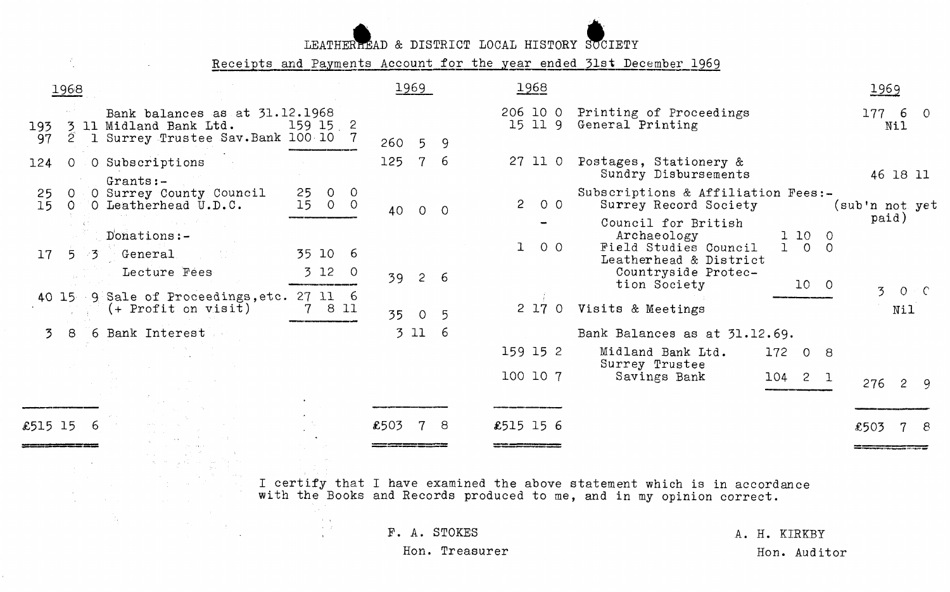LEATHER MAD & DISTRICT LOCAL HISTORY SUCIETY

Receipts and Payments Account for the year ended 31st December 1969

 $\mathcal{A}_{\mathcal{A}}$  .

 $\mathcal{L}$ 

|           | 1968                    |                                                                                             |                                            |           | 1969        |                 | 1968           |            |                                                                                                                                                    |                        |                       | 1969                  |         |
|-----------|-------------------------|---------------------------------------------------------------------------------------------|--------------------------------------------|-----------|-------------|-----------------|----------------|------------|----------------------------------------------------------------------------------------------------------------------------------------------------|------------------------|-----------------------|-----------------------|---------|
| 193<br>97 | 3<br>$\overline{2}$     | Bank balances as at 31.12.1968<br>11 Midland Bank Ltd.<br>1 Surrey Trustee Sav. Bank 100 10 | 159 15 2                                   | $260 - 5$ |             | 9               |                | 15 11 9    | 206 10 0 Printing of Proceedings<br>General Printing                                                                                               |                        |                       | 177 6<br>Nil          | $\circ$ |
| 124       | $\circ$                 | O Subscriptions<br>$Grants:-$                                                               |                                            | 125       | $7^{\circ}$ | -6              | 27 11 0        |            | Postages, Stationery &<br>Sundry Disbursements                                                                                                     |                        |                       | 46 18 11              |         |
| 25<br>15  | <sup>O</sup><br>$\circ$ | O Surrey County Council<br>O Leatherhead U.D.C.                                             | $\circ$<br>25<br>$\circ$<br>150<br>$\circ$ | 40        | $\circ$     | $\circ$         | $\overline{c}$ | $O$ $O$    | Subscriptions & Affiliation Fees:-<br>Surrey Record Society<br>Council for British                                                                 |                        | (sub'n not yet        | paid)                 |         |
| 17        | 5 <sup>1</sup><br>- 3   | Donations:-<br>General<br>Lecture Fees                                                      | 35 10 6<br>3120                            |           |             |                 |                | 100        | Archaeology<br>Field Studies Council<br>Leatherhead & District<br>Countryside Protec-                                                              | $1\,10$<br>$1 \quad 0$ | - 0<br>$\overline{0}$ |                       |         |
|           |                         | 40 15 9 Sale of Proceedings, etc. 27 11 6                                                   |                                            | 39        | $2^{\circ}$ | -6              |                |            | tion Society                                                                                                                                       | 10 <sub>0</sub>        |                       | $\overline{3}$        | $O + C$ |
|           |                         | $(+$ Profit on visit)                                                                       | 8 11                                       | 35        | $\circ$     | $5\overline{)}$ |                | $2\ 17\ 0$ | Visits & Meetings                                                                                                                                  |                        |                       | Nil                   |         |
| 3         | -8                      | 6 Bank Interest                                                                             |                                            |           | 3 11        | - 6             |                |            | Bank Balances as at 31.12.69.                                                                                                                      |                        |                       |                       |         |
|           |                         |                                                                                             |                                            |           |             |                 | 159 15 2       |            | Midland Bank Ltd.<br>Surrey Trustee                                                                                                                | 172<br>0 <sub>8</sub>  |                       |                       |         |
|           |                         |                                                                                             |                                            |           |             |                 | 100 10 7       |            | Savings Bank                                                                                                                                       | $104$ 2 1              |                       | 276<br>$\overline{c}$ | -9      |
| £515 15   | 6                       |                                                                                             |                                            | £503      |             | 8               | £515 15 6      |            |                                                                                                                                                    |                        | £503                  |                       |         |
|           |                         |                                                                                             |                                            |           |             |                 |                |            |                                                                                                                                                    |                        |                       |                       |         |
|           |                         |                                                                                             |                                            |           |             |                 |                |            | I certify that I have examined the above statement which is in accordance<br>with the Books and Records produced to me, and in my opinion correct. |                        |                       |                       |         |
|           |                         |                                                                                             |                                            |           |             | F. A. STOKES    |                |            |                                                                                                                                                    | A. H. KIRKBY           |                       |                       |         |

Hon. Treasurer

Hon. Auditor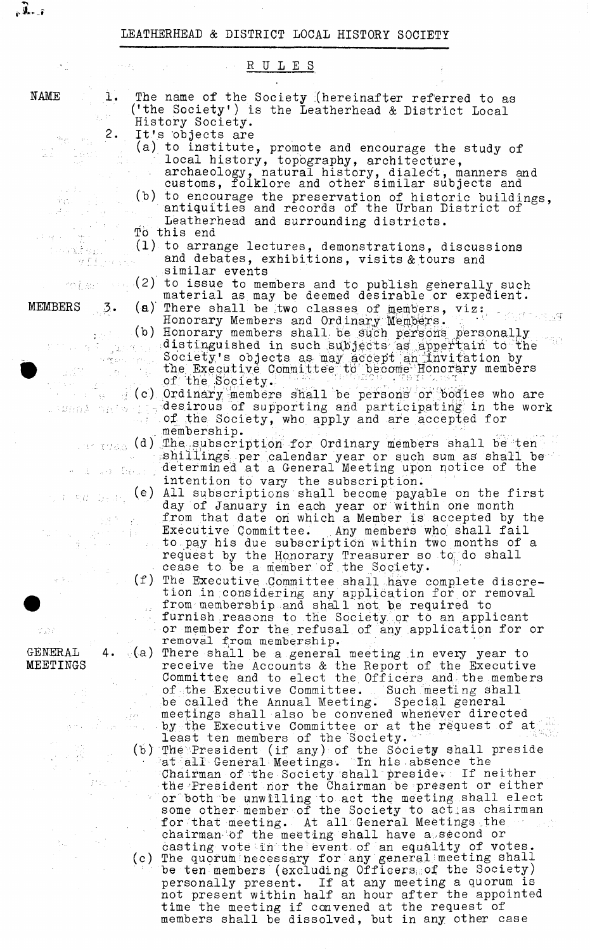LEATHERHEAD & DISTRICT LOCAL HISTORY SOCIETY

NAME

MEMBERS

อยู่ช่วยเห

주전국 국내

**| v J U \_ ?**

RULES 1. The name of the Society (hereinafter referred to as ('the Society') is the Leatherhead & District Local History Society. 2. It's objects are (a) to institute, promote and encourage the study of local history, topography, architecture, archaeology, natural history, dialect, manners and customs, folklore and other similar subjects and (b) to encourage the preservation of historic buildings, antiquities and records of the Urban District of Leatherhead and surrounding districts. To this end (1) to arrange lectures, demonstrations, discussions and debates, exhibitions, visits & tours and wff.pass similar events (2) to issue to members and to publish generally such material as may be deemed desirable or expedient.  $\beta$ • (a) There shall be two classes of members, viz: 工作工作人作品等 Honorary Members and Ordinary Members.  $\cdot$ (b) Honorary members shall be such persons personally  $\alpha$  distinguished in such subjects as appertain to the  $\ldots$  . Society's objects as may accept an invitation by the Executive Committee to become Honorary members of the Society.  $\mathcal{L}(\mathbf{c})$  Ordinary members shall be persons or bodies who are desirous of supporting and participating in the work of the Society, who apply and are accepted for membership.  $\sim$   $\sim$  (d) The subscription for Ordinary members shall be ten shillings' per calendar year or such sum as' shall be determined at a General Meeting upon notice of the ra () - Dekamir intention to vary the subscription. (e) All subscriptions shall become payable on the first #d Skak day of January in each year or within one month from that date on which a Member is accepted by the Executive Committee. Any members who shall fail 大家的 to pay his due subscription within two months of a request by the Honorary Treasurer so to do shall cease to be a member of.the Society.

> (f) The Executive .Committee shall have complete discretion in considering any application for or removal \_. from membership and shall not be required to furnish reasons to the Society or to an applicant - or member for the refusal of any application for or removal from membership.

4. (a) There shall be a general meeting in every year to receive the Accounts & the Report of the Executive Committee and to elect the Officers and,the members , of the Executive Committee. . Such meeting shall be called the Annual Meeting. Special general meetings shall also be convened whenever directed by the Executive Committee or at the request of at least ten members of the Society.

(b) The President (if any) of the Society shall preside  $\blacksquare$  at all General Meetings. In his absence the Chairman of the Society shall preside. If neither the-'President nor the Chairman be present or either or both be unwilling to act the meeting shall elect some other-member of the Society to act as chairman for that meeting. At all General Meetings the chairman of the meeting shall have a second or casting vote in the event of an equality of votes. (c) The quorum necessary for any general meeting shall be ten members (excluding Officers of the Society) personally present. If at any meeting a quorum is not present within half an hour after the appointed time the meeting if convened at the request of members shall be dissolved, but in any other case

GENERAL MEETINGS

Ŗ

IN.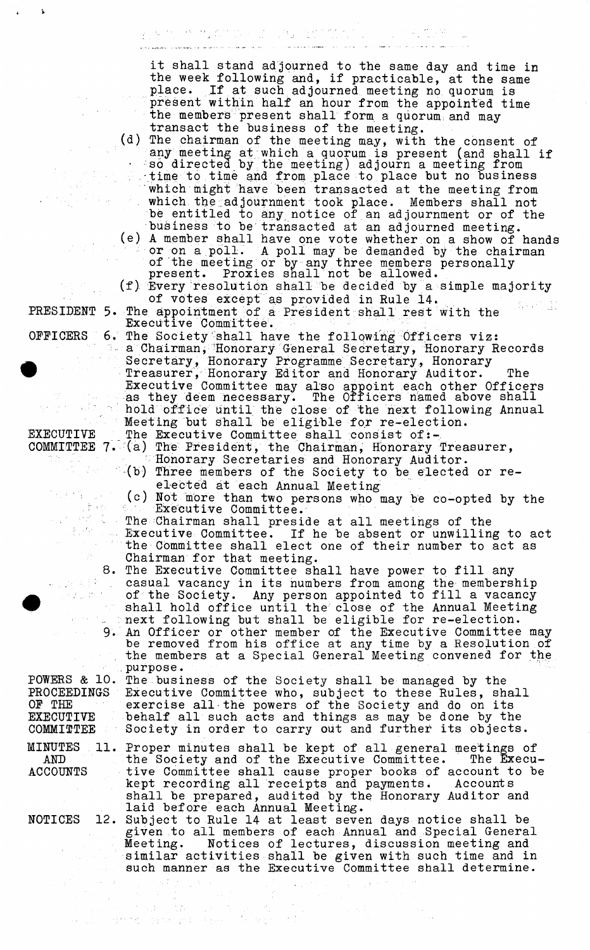المواطن المتحدة المتحدة المتحدة المتحدة المتحدة المتحدة المتحدة المتحدة المتحدة المتحدة المتحدة المتحدة المتحد<br>المتحدة المتحدة المتحدة المتحدة المتحدة المتحدة المتحدة المتحدة المتحدة المتحدة المتحدة المتحدة المتحدة المتحد it shall stand adjourned to the same day and time in the week following and, if practicable, at the same place. If at such adjourned meeting no quorum is present within half an hour from the appointed time the members present shall form a quorum and may transact the business of the meeting. (d) The chairman of the meeting may, with the consent of any meeting at which a quorum is present (and shall if  $\cdot$  so directed by the meeting) adjourn a meeting from time to time and from place to place but no business which might have been transacted at the meeting from which the adjournment took place. Members shall not be entitled to any notice of an adjournment or of the business to be transacted at an adjourned meeting. (e) A member shall have one vote whether on a show of hands or on a poll. A poll may be demanded by the chairman of the meeting or by any three members personally present. Proxies shall not be allowed. (f) Every resolution shall be decided by a simple majority of votes except as provided in Rule 14. PRESIDENT 5. The appointment of a President shall rest with the Executive Committee. **OFFICERS** The Society shall have the following Officers viz: a Chairman, Honorary General Secretary, Honorary Records Secretary, Honorary Programme Secretary, Honorary Treasurer, Honorary Editor and Honorary Auditor. The Executive Committee may also appoint each other Officers as they deem necessary. The Officers named above shall hold office until the close of the next following Annual Meeting but shall be eligible for re-election. The Executive Committee shall consist of:-EXECUTIVE COMMITTEE 7. (a) The President, the Chairman, Honorary Treasurer, 'Honorary Secretaries and Honorary Auditor. -(b) Three members of the Society to be elected or reelected at each Annual Meeting (c) Not more than two persons who may be co-opted by the 计元 Executive Committee. فبالري  $\mathcal{A}$ The Chairman shall preside at all meetings of the Executive Committee. If he be absent or unwilling to act the Committee shall elect one of their number to act as Chairman for that meeting. **8**, The Executive Committee shall have power to fill any 医血管 casual vacancy in its numbers from among the membership  $\mathcal{J}_{\rm{max}}(\mathcal{G})^{-1}$ of the Society. Any person appointed to fill a vacancy  $s$ hall hold office until the close of the Annual Meeting next following but shall be eligible for re-election.  $9.1$ An Officer or other member of the Executive Committee may be removed from his office at any time by a Resolution of the members at a Special General Meeting convened for the .purpose. POWERS *&* 10. The business of the Society shall be managed by the PROCEEDINGS Executive Committee who, subject to these Rules, shall OF THE exercise all the powers of the Society and do on its behalf all such acts and things as may be done by the EXECUTIVE Society in order to carry out and further its objects. C0MMI2TEE MINUTES 11. Proper minutes shall be kept of all general meetings of the Society and of the Executive Committee. The Execu-AND tive Committee shall cause proper books of account to be ACCOUNTS kept recording all receipts and payments. Accounts shall be prepared, audited by the Honorary Auditor and laid before each Annual Meeting. **NOTICES** 12. Subject to Rule 14 at least seven days notice shall be given to all members of each Annual and Special General Notices of lectures, discussion meeting and similar activities shall be given with such time and in such manner as the Executive Committee shall determine.

 $\left\langle \left( \frac{\partial}{\partial t} \right) \right\rangle = \left\langle \left( \frac{\partial}{\partial t} \right) \right\rangle$ 

 $\label{eq:3} \begin{split} \mathcal{D}^{\text{max}}_{\text{max}}&=\mathcal{D}^{\text{max}}_{\text{max}}\left(\mathcal{D}^{\text{max}}_{\text{max}}\right)\left(\mathcal{D}^{\text{max}}_{\text{max}}\right)\left(\mathcal{D}^{\text{max}}_{\text{max}}\right)\left(\mathcal{D}^{\text{max}}_{\text{max}}\right)\\ &\text{max}\left(\mathcal{D}^{\text{max}}_{\text{max}}\left(\mathcal{D}^{\text{max}}_{\text{max}}\right)\right)\left(\mathcal{D}^{\text{max}}_{\text{max}}\right)\left(\mathcal{D}^{\$